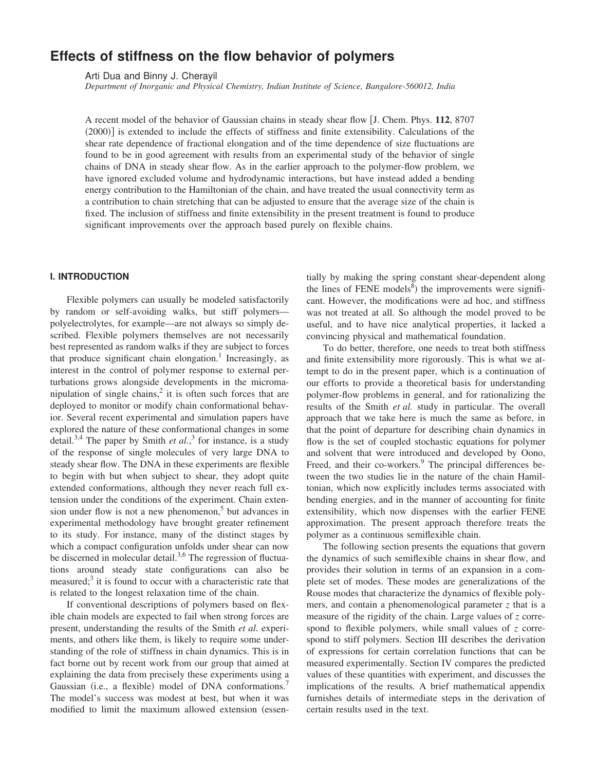# **Effects of stiffness on the flow behavior of polymers**

Arti Dua and Binny J. Cherayil

*Department of Inorganic and Physical Chemistry, Indian Institute of Science, Bangalore-560012, India*

A recent model of the behavior of Gaussian chains in steady shear flow [J. Chem. Phys. 112, 8707  $(2000)$  is extended to include the effects of stiffness and finite extensibility. Calculations of the shear rate dependence of fractional elongation and of the time dependence of size fluctuations are found to be in good agreement with results from an experimental study of the behavior of single chains of DNA in steady shear flow. As in the earlier approach to the polymer-flow problem, we have ignored excluded volume and hydrodynamic interactions, but have instead added a bending energy contribution to the Hamiltonian of the chain, and have treated the usual connectivity term as a contribution to chain stretching that can be adjusted to ensure that the average size of the chain is fixed. The inclusion of stiffness and finite extensibility in the present treatment is found to produce significant improvements over the approach based purely on flexible chains.

# **I. INTRODUCTION**

Flexible polymers can usually be modeled satisfactorily by random or self-avoiding walks, but stiff polymers polyelectrolytes, for example—are not always so simply described. Flexible polymers themselves are not necessarily best represented as random walks if they are subject to forces that produce significant chain elongation.<sup>1</sup> Increasingly, as interest in the control of polymer response to external perturbations grows alongside developments in the micromanipulation of single chains,<sup>2</sup> it is often such forces that are deployed to monitor or modify chain conformational behavior. Several recent experimental and simulation papers have explored the nature of these conformational changes in some detail.<sup>3,4</sup> The paper by Smith *et al.*,<sup>3</sup> for instance, is a study of the response of single molecules of very large DNA to steady shear flow. The DNA in these experiments are flexible to begin with but when subject to shear, they adopt quite extended conformations, although they never reach full extension under the conditions of the experiment. Chain extension under flow is not a new phenomenon,<sup>5</sup> but advances in experimental methodology have brought greater refinement to its study. For instance, many of the distinct stages by which a compact configuration unfolds under shear can now be discerned in molecular detail.<sup>3,6</sup> The regression of fluctuations around steady state configurations can also be measured;<sup>3</sup> it is found to occur with a characteristic rate that is related to the longest relaxation time of the chain.

If conventional descriptions of polymers based on flexible chain models are expected to fail when strong forces are present, understanding the results of the Smith *et al.* experiments, and others like them, is likely to require some understanding of the role of stiffness in chain dynamics. This is in fact borne out by recent work from our group that aimed at explaining the data from precisely these experiments using a Gaussian  $(i.e., a flexible)$  model of DNA conformations.<sup>7</sup> The model's success was modest at best, but when it was modified to limit the maximum allowed extension (essentially by making the spring constant shear-dependent along the lines of FENE models $\delta$ ) the improvements were significant. However, the modifications were ad hoc, and stiffness was not treated at all. So although the model proved to be useful, and to have nice analytical properties, it lacked a convincing physical and mathematical foundation.

To do better, therefore, one needs to treat both stiffness and finite extensibility more rigorously. This is what we attempt to do in the present paper, which is a continuation of our efforts to provide a theoretical basis for understanding polymer-flow problems in general, and for rationalizing the results of the Smith *et al.* study in particular. The overall approach that we take here is much the same as before, in that the point of departure for describing chain dynamics in flow is the set of coupled stochastic equations for polymer and solvent that were introduced and developed by Oono, Freed, and their co-workers.<sup>9</sup> The principal differences between the two studies lie in the nature of the chain Hamiltonian, which now explicitly includes terms associated with bending energies, and in the manner of accounting for finite extensibility, which now dispenses with the earlier FENE approximation. The present approach therefore treats the polymer as a continuous semiflexible chain.

The following section presents the equations that govern the dynamics of such semiflexible chains in shear flow, and provides their solution in terms of an expansion in a complete set of modes. These modes are generalizations of the Rouse modes that characterize the dynamics of flexible polymers, and contain a phenomenological parameter *z* that is a measure of the rigidity of the chain. Large values of *z* correspond to flexible polymers, while small values of *z* correspond to stiff polymers. Section III describes the derivation of expressions for certain correlation functions that can be measured experimentally. Section IV compares the predicted values of these quantities with experiment, and discusses the implications of the results. A brief mathematical appendix furnishes details of intermediate steps in the derivation of certain results used in the text.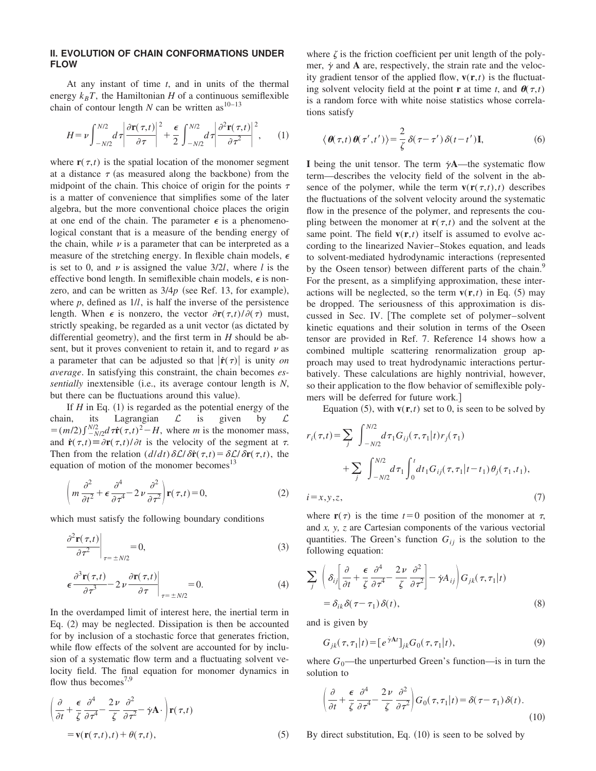# **II. EVOLUTION OF CHAIN CONFORMATIONS UNDER FLOW**

At any instant of time *t*, and in units of the thermal energy  $k_B T$ , the Hamiltonian *H* of a continuous semiflexible chain of contour length  $N$  can be written as<sup>10-13</sup>

$$
H = \nu \int_{-N/2}^{N/2} d\tau \left| \frac{\partial \mathbf{r}(\tau, t)}{\partial \tau} \right|^2 + \frac{\epsilon}{2} \int_{-N/2}^{N/2} d\tau \left| \frac{\partial^2 \mathbf{r}(\tau, t)}{\partial \tau^2} \right|^2, \qquad (1)
$$

where  $\mathbf{r}(\tau,t)$  is the spatial location of the monomer segment at a distance  $\tau$  (as measured along the backbone) from the midpoint of the chain. This choice of origin for the points  $\tau$ is a matter of convenience that simplifies some of the later algebra, but the more conventional choice places the origin at one end of the chain. The parameter  $\epsilon$  is a phenomenological constant that is a measure of the bending energy of the chain, while  $\nu$  is a parameter that can be interpreted as a measure of the stretching energy. In flexible chain models,  $\epsilon$ is set to 0, and  $\nu$  is assigned the value  $3/2l$ , where *l* is the effective bond length. In semiflexible chain models,  $\epsilon$  is nonzero, and can be written as  $3/4p$  (see Ref. 13, for example), where *p*, defined as 1/*l*, is half the inverse of the persistence length. When  $\epsilon$  is nonzero, the vector  $\frac{\partial \mathbf{r}(\tau,t)}{\partial(\tau)}$  must, strictly speaking, be regarded as a unit vector (as dictated by differential geometry), and the first term in  $H$  should be absent, but it proves convenient to retain it, and to regard  $\nu$  as a parameter that can be adjusted so that  $|\dot{\mathbf{r}}(\tau)|$  is unity *on average*. In satisfying this constraint, the chain becomes *essentially* inextensible (i.e., its average contour length is *N*, but there can be fluctuations around this value).

If  $H$  in Eq.  $(1)$  is regarded as the potential energy of the chain, its Lagrangian  $\mathcal{L}$  is given by  $\mathcal{L}$  $=$  $(m/2)\int_{-N/2}^{N/2} d\tau \dot{\mathbf{r}}(\tau,t)^2 - H$ , where *m* is the monomer mass, and  $\dot{\mathbf{r}}(\tau,t) \equiv \partial \mathbf{r}(\tau,t)/\partial t$  is the velocity of the segment at  $\tau$ . Then from the relation  $\left(\frac{d}{dt}\right)\delta\mathcal{L}/\delta\dot{\mathbf{r}}(\tau,t)=\delta\mathcal{L}/\delta\mathbf{r}(\tau,t)$ , the equation of motion of the monomer becomes $13$ 

$$
\left(m\frac{\partial^2}{\partial t^2} + \epsilon \frac{\partial^4}{\partial \tau^4} - 2\nu \frac{\partial^2}{\partial \tau^2}\right) \mathbf{r}(\tau, t) = 0,\tag{2}
$$

which must satisfy the following boundary conditions

$$
\left. \frac{\partial^2 \mathbf{r}(\tau, t)}{\partial \tau^2} \right|_{\tau = \pm N/2} = 0,
$$
\n(3)

$$
\left. \epsilon \frac{\partial^3 \mathbf{r}(\tau, t)}{\partial \tau^3} - 2 \nu \frac{\partial \mathbf{r}(\tau, t)}{\partial \tau} \right|_{\tau = \pm N/2} = 0. \tag{4}
$$

In the overdamped limit of interest here, the inertial term in Eq.  $(2)$  may be neglected. Dissipation is then be accounted for by inclusion of a stochastic force that generates friction, while flow effects of the solvent are accounted for by inclusion of a systematic flow term and a fluctuating solvent velocity field. The final equation for monomer dynamics in flow thus becomes<sup>7,9</sup>

$$
\left(\frac{\partial}{\partial t} + \frac{\epsilon}{\zeta} \frac{\partial^4}{\partial \tau^4} - \frac{2\nu}{\zeta} \frac{\partial^2}{\partial \tau^2} - \dot{\gamma} \mathbf{A} \cdot \right) \mathbf{r}(\tau, t)
$$
  
=  $\mathbf{v}(\mathbf{r}(\tau, t), t) + \theta(\tau, t),$  (5)

where  $\zeta$  is the friction coefficient per unit length of the polymer,  $\dot{\gamma}$  and **A** are, respectively, the strain rate and the velocity gradient tensor of the applied flow,  $\mathbf{v}(\mathbf{r},t)$  is the fluctuating solvent velocity field at the point **r** at time *t*, and  $\theta(\tau,t)$ is a random force with white noise statistics whose correlations satisfy

$$
\langle \boldsymbol{\theta}(\tau, t) \boldsymbol{\theta}(\tau', t') \rangle = \frac{2}{\zeta} \delta(\tau - \tau') \delta(t - t') \mathbf{I},
$$
 (6)

**I** being the unit tensor. The term  $\dot{\gamma}$ **A**—the systematic flow term—describes the velocity field of the solvent in the absence of the polymer, while the term  $\mathbf{v}(\mathbf{r}(\tau,t),t)$  describes the fluctuations of the solvent velocity around the systematic flow in the presence of the polymer, and represents the coupling between the monomer at  $\mathbf{r}(\tau,t)$  and the solvent at the same point. The field  $\mathbf{v}(\mathbf{r},t)$  itself is assumed to evolve according to the linearized Navier–Stokes equation, and leads to solvent-mediated hydrodynamic interactions (represented by the Oseen tensor) between different parts of the chain.<sup>9</sup> For the present, as a simplifying approximation, these interactions will be neglected, so the term  $\mathbf{v}(\mathbf{r},t)$  in Eq. (5) may be dropped. The seriousness of this approximation is discussed in Sec. IV. [The complete set of polymer–solvent kinetic equations and their solution in terms of the Oseen tensor are provided in Ref. 7. Reference 14 shows how a combined multiple scattering renormalization group approach may used to treat hydrodynamic interactions perturbatively. These calculations are highly nontrivial, however, so their application to the flow behavior of semiflexible polymers will be deferred for future work.

Equation  $(5)$ , with  $\mathbf{v}(\mathbf{r},t)$  set to 0, is seen to be solved by

$$
r_i(\tau, t) = \sum_j \int_{-N/2}^{N/2} d\tau_1 G_{ij}(\tau, \tau_1 | t) r_j(\tau_1)
$$
  
+ 
$$
\sum_j \int_{-N/2}^{N/2} d\tau_1 \int_0^t dt_1 G_{ij}(\tau, \tau_1 | t - t_1) \theta_j(\tau_1, t_1),
$$
  
i = x, y, z, (7)

where  $\mathbf{r}(\tau)$  is the time  $t=0$  position of the monomer at  $\tau$ , and *x, y, z* are Cartesian components of the various vectorial quantities. The Green's function  $G_{ij}$  is the solution to the following equation:

$$
\sum_{j} \left( \delta_{ij} \left[ \frac{\partial}{\partial t} + \frac{\epsilon}{\zeta} \frac{\partial^{4}}{\partial \tau^{4}} - \frac{2 \nu}{\zeta} \frac{\partial^{2}}{\partial \tau^{2}} \right] - \dot{\gamma} A_{ij} \right) G_{jk}(\tau, \tau_{1}|t)
$$
  
=  $\delta_{ik} \delta(\tau - \tau_{1}) \delta(t),$  (8)

and is given by

$$
G_{jk}(\tau,\tau_1|t) = [e^{\dot{\gamma}A}I_{jk}G_0(\tau,\tau_1|t), \qquad (9)
$$

where  $G_0$ —the unperturbed Green's function—is in turn the solution to

$$
\left(\frac{\partial}{\partial t} + \frac{\epsilon}{\zeta} \frac{\partial^4}{\partial \tau^4} - \frac{2\nu}{\zeta} \frac{\partial^2}{\partial \tau^2}\right) G_0(\tau, \tau_1 | t) = \delta(\tau - \tau_1) \delta(t). \tag{10}
$$

By direct substitution, Eq.  $(10)$  is seen to be solved by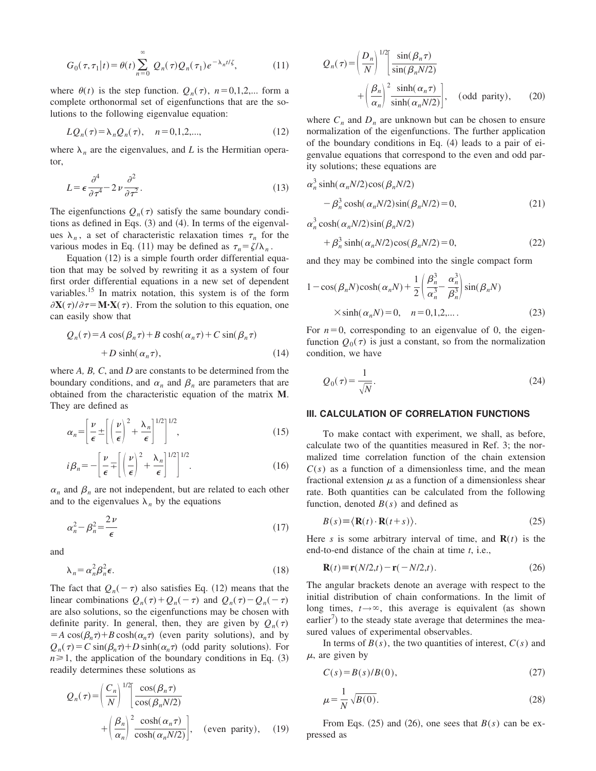$$
G_0(\tau, \tau_1 | t) = \theta(t) \sum_{n=0}^{\infty} Q_n(\tau) Q_n(\tau_1) e^{-\lambda_n t/\zeta}, \qquad (11)
$$

where  $\theta(t)$  is the step function.  $Q_n(\tau)$ ,  $n=0,1,2,...$  form a complete orthonormal set of eigenfunctions that are the solutions to the following eigenvalue equation:

$$
LQ_n(\tau) = \lambda_n Q_n(\tau), \quad n = 0, 1, 2, \dots,
$$
 (12)

where  $\lambda_n$  are the eigenvalues, and *L* is the Hermitian operator,

$$
L = \epsilon \frac{\partial^4}{\partial \tau^4} - 2 \nu \frac{\partial^2}{\partial \tau^2}.
$$
 (13)

The eigenfunctions  $Q_n(\tau)$  satisfy the same boundary conditions as defined in Eqs.  $(3)$  and  $(4)$ . In terms of the eigenvalues  $\lambda_n$ , a set of characteristic relaxation times  $\tau_n$  for the various modes in Eq. (11) may be defined as  $\tau_n = \zeta / \lambda_n$ .

Equation  $(12)$  is a simple fourth order differential equation that may be solved by rewriting it as a system of four first order differential equations in a new set of dependent variables.<sup>15</sup> In matrix notation, this system is of the form  $\partial$ **X**( $\tau$ )/ $\partial$  $\tau$ =**M·X**( $\tau$ ). From the solution to this equation, one can easily show that

$$
Q_n(\tau) = A \cos(\beta_n \tau) + B \cosh(\alpha_n \tau) + C \sin(\beta_n \tau)
$$
  
+ 
$$
D \sinh(\alpha_n \tau), \qquad (14)
$$

where *A, B, C*, and *D* are constants to be determined from the boundary conditions, and  $\alpha_n$  and  $\beta_n$  are parameters that are obtained from the characteristic equation of the matrix **M**. They are defined as

$$
\alpha_n = \left[\frac{\nu}{\epsilon} \pm \left[ \left( \frac{\nu}{\epsilon} \right)^2 + \frac{\lambda_n}{\epsilon} \right]^{1/2} \right]^{1/2},\tag{15}
$$

$$
i\beta_n = -\left[\frac{\nu}{\epsilon} \mp \left[ \left(\frac{\nu}{\epsilon}\right)^2 + \frac{\lambda_n}{\epsilon} \right]^{1/2} \right]^{1/2}.
$$
 (16)

 $\alpha_n$  and  $\beta_n$  are not independent, but are related to each other and to the eigenvalues  $\lambda_n$  by the equations

$$
\alpha_n^2 - \beta_n^2 = \frac{2\nu}{\epsilon} \tag{17}
$$

and

$$
\lambda_n = \alpha_n^2 \beta_n^2 \epsilon. \tag{18}
$$

The fact that  $Q_n(-\tau)$  also satisfies Eq. (12) means that the linear combinations  $Q_n(\tau) + Q_n(-\tau)$  and  $Q_n(\tau) - Q_n(-\tau)$ are also solutions, so the eigenfunctions may be chosen with definite parity. In general, then, they are given by  $Q_n(\tau)$  $= A \cos(\beta_n \tau) + B \cosh(\alpha_n \tau)$  (even parity solutions), and by  $Q_n(\tau) = C \sin(\beta_n \tau) + D \sinh(\alpha_n \tau)$  (odd parity solutions). For  $n \geq 1$ , the application of the boundary conditions in Eq. (3) readily determines these solutions as

$$
Q_n(\tau) = \left(\frac{C_n}{N}\right)^{1/2} \left[\frac{\cos(\beta_n \tau)}{\cos(\beta_n N/2)} + \left(\frac{\beta_n}{\alpha_n}\right)^2 \frac{\cosh(\alpha_n \tau)}{\cosh(\alpha_n N/2)}\right], \text{ (even parity)}, \text{ (19)}
$$

$$
Q_n(\tau) = \left(\frac{D_n}{N}\right)^{1/2} \left[\frac{\sin(\beta_n \tau)}{\sin(\beta_n N/2)} + \left(\frac{\beta_n}{\alpha_n}\right)^2 \frac{\sinh(\alpha_n \tau)}{\sinh(\alpha_n N/2)}\right], \text{ (odd parity)}, \text{ (20)}
$$

where  $C_n$  and  $D_n$  are unknown but can be chosen to ensure normalization of the eigenfunctions. The further application of the boundary conditions in Eq.  $(4)$  leads to a pair of eigenvalue equations that correspond to the even and odd parity solutions; these equations are

$$
\alpha_n^3 \sinh(\alpha_n N/2) \cos(\beta_n N/2)
$$
  
-  $\beta_n^3 \cosh(\alpha_n N/2) \sin(\beta_n N/2) = 0,$  (21)

 $\alpha_n^3 \cosh(\alpha_n N/2) \sin(\beta_n N/2)$ 

$$
+\beta_n^3 \sinh(\alpha_n N/2) \cos(\beta_n N/2) = 0,
$$
\n(22)

and they may be combined into the single compact form

$$
1 - \cos(\beta_n N) \cosh(\alpha_n N) + \frac{1}{2} \left( \frac{\beta_n^3}{\alpha_n^3} - \frac{\alpha_n^3}{\beta_n^3} \right) \sin(\beta_n N)
$$
  
 
$$
\times \sinh(\alpha_n N) = 0, \quad n = 0, 1, 2, \dots.
$$
 (23)

For  $n=0$ , corresponding to an eigenvalue of 0, the eigenfunction  $Q_0(\tau)$  is just a constant, so from the normalization condition, we have

$$
Q_0(\tau) = \frac{1}{\sqrt{N}}.\tag{24}
$$

# **III. CALCULATION OF CORRELATION FUNCTIONS**

To make contact with experiment, we shall, as before, calculate two of the quantities measured in Ref. 3; the normalized time correlation function of the chain extension  $C(s)$  as a function of a dimensionless time, and the mean fractional extension  $\mu$  as a function of a dimensionless shear rate. Both quantities can be calculated from the following function, denoted  $B(s)$  and defined as

$$
B(s) \equiv \langle \mathbf{R}(t) \cdot \mathbf{R}(t+s) \rangle.
$$
 (25)

Here *s* is some arbitrary interval of time, and  $\mathbf{R}(t)$  is the end-to-end distance of the chain at time *t*, i.e.,

$$
\mathbf{R}(t) \equiv \mathbf{r}(N/2,t) - \mathbf{r}(-N/2,t). \tag{26}
$$

The angular brackets denote an average with respect to the initial distribution of chain conformations. In the limit of long times,  $t \rightarrow \infty$ , this average is equivalent (as shown earlier<sup>7</sup>) to the steady state average that determines the measured values of experimental observables.

In terms of  $B(s)$ , the two quantities of interest,  $C(s)$  and  $\mu$ , are given by

$$
C(s) = B(s)/B(0),\tag{27}
$$

$$
\mu = \frac{1}{N} \sqrt{B(0)}.\tag{28}
$$

From Eqs.  $(25)$  and  $(26)$ , one sees that  $B(s)$  can be expressed as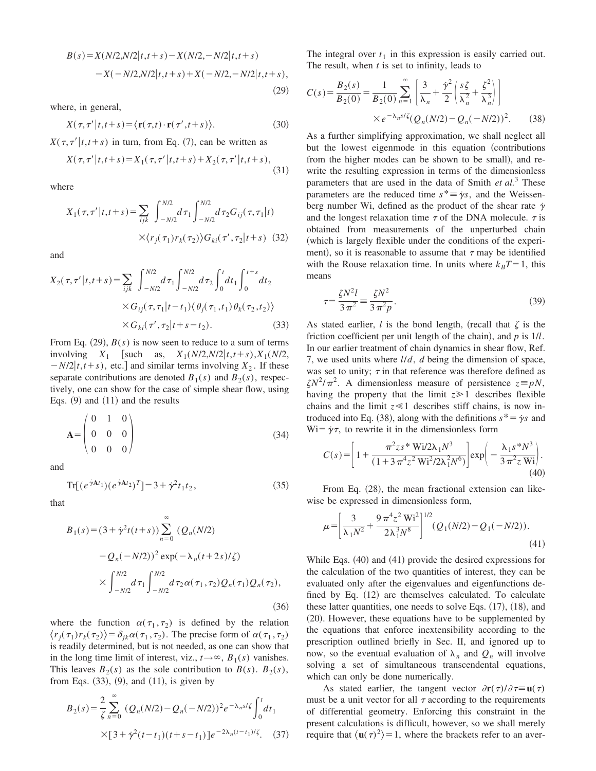$$
B(s) = X(N/2, N/2|t, t+s) - X(N/2, -N/2|t, t+s)
$$
  
-X(-N/2,N/2|t, t+s) + X(-N/2, -N/2|t, t+s),  
(29)

where, in general,

$$
X(\tau, \tau' | t, t + s) = \langle \mathbf{r}(\tau, t) \cdot \mathbf{r}(\tau', t + s) \rangle.
$$
 (30)

 $X(\tau, \tau'|t,t+s)$  in turn, from Eq. (7), can be written as

$$
X(\tau, \tau' | t, t + s) = X_1(\tau, \tau' | t, t + s) + X_2(\tau, \tau' | t, t + s),
$$
\n(31)

where

$$
X_1(\tau, \tau' | t, t + s) = \sum_{ijk} \int_{-N/2}^{N/2} d\tau_1 \int_{-N/2}^{N/2} d\tau_2 G_{ij}(\tau, \tau_1 | t)
$$

$$
\times \langle r_j(\tau_1) r_k(\tau_2) \rangle G_{ki}(\tau', \tau_2 | t + s) \quad (32)
$$

and

$$
X_2(\tau, \tau' | t, t + s) = \sum_{ijk} \int_{-N/2}^{N/2} d\tau_1 \int_{-N/2}^{N/2} d\tau_2 \int_0^t dt_1 \int_0^{t+s} dt_2
$$
  
 
$$
\times G_{ij}(\tau, \tau_1 | t - t_1) \langle \theta_j(\tau_1, t_1) \theta_k(\tau_2, t_2) \rangle
$$
  
 
$$
\times G_{ki}(\tau', \tau_2 | t + s - t_2).
$$
 (33)

From Eq.  $(29)$ ,  $B(s)$  is now seen to reduce to a sum of terms involving *X*<sub>1</sub> [such as, *X*<sub>1</sub>(*N*/2,*N*/2|*t*,*t*+*s*),*X*<sub>1</sub>(*N*/2,  $-N/2[t, t+s)$ , etc.] and similar terms involving  $X_2$ . If these separate contributions are denoted  $B_1(s)$  and  $B_2(s)$ , respectively, one can show for the case of simple shear flow, using Eqs.  $(9)$  and  $(11)$  and the results

$$
\mathbf{A} = \begin{pmatrix} 0 & 1 & 0 \\ 0 & 0 & 0 \\ 0 & 0 & 0 \end{pmatrix}
$$
 (34)

and

$$
\operatorname{Tr}[(e^{\dot{\gamma}At_1})(e^{\dot{\gamma}At_2})^T] = 3 + \dot{\gamma}^2 t_1 t_2,\tag{35}
$$

that

$$
B_1(s) = (3 + \dot{\gamma}^2 t(t+s)) \sum_{n=0}^{\infty} (Q_n(N/2)
$$
  
-  $Q_n(-N/2))^2 \exp(-\lambda_n(t+2s)/\zeta)$   

$$
\times \int_{-N/2}^{N/2} d\tau_1 \int_{-N/2}^{N/2} d\tau_2 \alpha(\tau_1, \tau_2) Q_n(\tau_1) Q_n(\tau_2),
$$
 (36)

where the function  $\alpha(\tau_1, \tau_2)$  is defined by the relation  $\langle r_j(\tau_1)r_k(\tau_2)\rangle = \delta_{jk}\alpha(\tau_1,\tau_2)$ . The precise form of  $\alpha(\tau_1,\tau_2)$ is readily determined, but is not needed, as one can show that in the long time limit of interest, viz.,  $t \rightarrow \infty$ ,  $B_1(s)$  vanishes. This leaves  $B_2(s)$  as the sole contribution to  $B(s)$ .  $B_2(s)$ , from Eqs.  $(33)$ ,  $(9)$ , and  $(11)$ , is given by

$$
B_2(s) = \frac{2}{\zeta} \sum_{n=0}^{\infty} (Q_n(N/2) - Q_n(-N/2))^{2} e^{-\lambda_n s/\zeta} \int_0^t dt_1
$$
  
×[3 +  $\dot{\gamma}^2(t - t_1)(t + s - t_1)]e^{-2\lambda_n(t - t_1)/\zeta}$ . (37)

The integral over  $t_1$  in this expression is easily carried out. The result, when *t* is set to infinity, leads to

$$
C(s) = \frac{B_2(s)}{B_2(0)} = \frac{1}{B_2(0)} \sum_{n=1}^{\infty} \left[ \frac{3}{\lambda_n} + \frac{\dot{\gamma}^2}{2} \left( \frac{s\zeta}{\lambda_n^2} + \frac{\zeta^2}{\lambda_n^3} \right) \right]
$$
  
×  $e^{-\lambda_n s/\zeta} (Q_n(N/2) - Q_n(-N/2))^2$ . (38)

As a further simplifying approximation, we shall neglect all but the lowest eigenmode in this equation (contributions from the higher modes can be shown to be small), and rewrite the resulting expression in terms of the dimensionless parameters that are used in the data of Smith *et al.*<sup>3</sup> These parameters are the reduced time  $s^* \equiv \dot{\gamma} s$ , and the Weissenberg number Wi, defined as the product of the shear rate  $\dot{\gamma}$ and the longest relaxation time  $\tau$  of the DNA molecule.  $\tau$  is obtained from measurements of the unperturbed chain (which is largely flexible under the conditions of the experiment), so it is reasonable to assume that  $\tau$  may be identified with the Rouse relaxation time. In units where  $k_B T = 1$ , this means

$$
\tau = \frac{\zeta N^2 l}{3 \pi^2} = \frac{\zeta N^2}{3 \pi^2 p}.
$$
\n
$$
(39)
$$

As stated earlier, *l* is the bond length, (recall that  $\zeta$  is the friction coefficient per unit length of the chain), and  $p$  is  $1/l$ . In our earlier treatment of chain dynamics in shear flow, Ref. 7, we used units where *l*/*d*, *d* being the dimension of space, was set to unity;  $\tau$  in that reference was therefore defined as  $\zeta N^2 / \pi^2$ . A dimensionless measure of persistence  $z \equiv pN$ , having the property that the limit  $z \geq 1$  describes flexible chains and the limit  $z \ll 1$  describes stiff chains, is now introduced into Eq. (38), along with the definitions  $s^* = \gamma s$  and  $Wi = \gamma \tau$ , to rewrite it in the dimensionless form

$$
C(s) = \left[1 + \frac{\pi^2 z s^* \text{Wi}/2\lambda_1 N^3}{(1 + 3\pi^4 z^2 \text{ Wi}^2 / 2\lambda_1^2 N^6)}\right] \exp\left(-\frac{\lambda_1 s^* N^3}{3\pi^2 z \text{ Wi}}\right). \tag{40}
$$

From Eq.  $(28)$ , the mean fractional extension can likewise be expressed in dimensionless form,

$$
\mu = \left[\frac{3}{\lambda_1 N^2} + \frac{9\pi^4 z^2 W i^2}{2\lambda_1^3 N^8}\right]^{1/2} (Q_1(N/2) - Q_1(-N/2)).
$$
\n(41)

While Eqs.  $(40)$  and  $(41)$  provide the desired expressions for the calculation of the two quantities of interest, they can be evaluated only after the eigenvalues and eigenfunctions defined by Eq.  $(12)$  are themselves calculated. To calculate these latter quantities, one needs to solve Eqs.  $(17)$ ,  $(18)$ , and  $(20)$ . However, these equations have to be supplemented by the equations that enforce inextensibility according to the prescription outlined briefly in Sec. II, and ignored up to now, so the eventual evaluation of  $\lambda_n$  and  $Q_n$  will involve solving a set of simultaneous transcendental equations, which can only be done numerically.

As stated earlier, the tangent vector  $\partial \mathbf{r}(\tau)/\partial \tau \equiv \mathbf{u}(\tau)$ must be a unit vector for all  $\tau$  according to the requirements of differential geometry. Enforcing this constraint in the present calculations is difficult, however, so we shall merely require that  $\langle \mathbf{u}(\tau)^2 \rangle = 1$ , where the brackets refer to an aver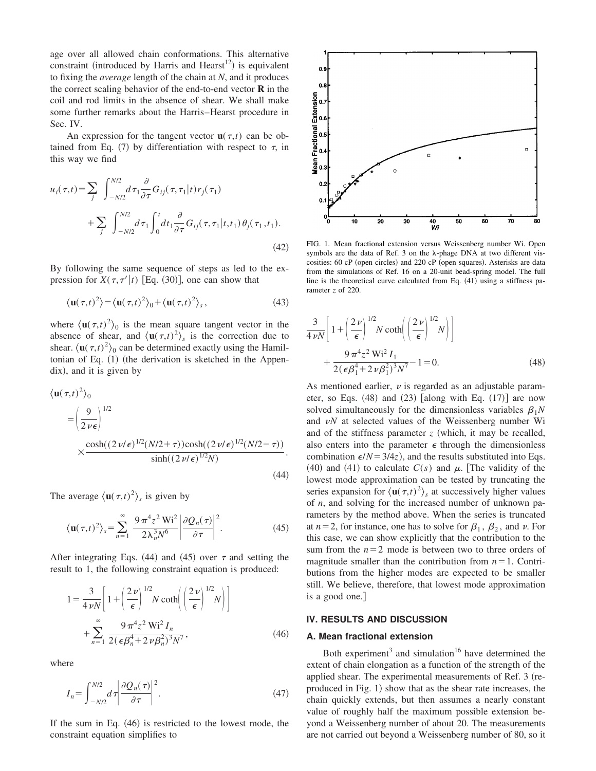age over all allowed chain conformations. This alternative constraint (introduced by Harris and Hearst<sup>12</sup>) is equivalent to fixing the *average* length of the chain at *N*, and it produces the correct scaling behavior of the end-to-end vector **R** in the coil and rod limits in the absence of shear. We shall make some further remarks about the Harris–Hearst procedure in Sec. IV.

An expression for the tangent vector  $\mathbf{u}(\tau,t)$  can be obtained from Eq. (7) by differentiation with respect to  $\tau$ , in this way we find

$$
u_i(\tau, t) = \sum_j \int_{-N/2}^{N/2} d\tau_1 \frac{\partial}{\partial \tau} G_{ij}(\tau, \tau_1 | t) r_j(\tau_1) + \sum_j \int_{-N/2}^{N/2} d\tau_1 \int_0^t dt_1 \frac{\partial}{\partial \tau} G_{ij}(\tau, \tau_1 | t, t_1) \theta_j(\tau_1, t_1).
$$
\n(42)

By following the same sequence of steps as led to the expression for  $X(\tau, \tau'|t)$  [Eq. (30)], one can show that

$$
\langle \mathbf{u}(\tau,t)^2 \rangle = \langle \mathbf{u}(\tau,t)^2 \rangle_0 + \langle \mathbf{u}(\tau,t)^2 \rangle_s, \tag{43}
$$

where  $\langle \mathbf{u}(\tau,t)^2 \rangle_0$  is the mean square tangent vector in the absence of shear, and  $\langle \mathbf{u}(\tau,t)^2 \rangle_s$  is the correction due to shear.  $\langle \mathbf{u}(\tau,t)^2 \rangle_0$  can be determined exactly using the Hamiltonian of Eq.  $(1)$  (the derivation is sketched in the Appendix), and it is given by

$$
\langle \mathbf{u}(\tau, t)^2 \rangle_0
$$
  
=  $\left(\frac{9}{2 \nu \epsilon}\right)^{1/2}$   

$$
\times \frac{\cosh((2 \nu/\epsilon)^{1/2}(N/2 + \tau))\cosh((2 \nu/\epsilon)^{1/2}(N/2 - \tau))}{\sinh((2 \nu/\epsilon)^{1/2}N)}.
$$
(44)

The average  $\langle \mathbf{u}(\tau,t)^2 \rangle_s$  is given by

$$
\langle \mathbf{u}(\tau,t)^2 \rangle_s = \sum_{n=1}^{\infty} \frac{9 \pi^4 z^2 W i^2}{2 \lambda_n^3 N^6} \left| \frac{\partial Q_n(\tau)}{\partial \tau} \right|^2.
$$
 (45)

After integrating Eqs. (44) and (45) over  $\tau$  and setting the result to 1, the following constraint equation is produced:

$$
1 = \frac{3}{4 \nu N} \left[ 1 + \left( \frac{2 \nu}{\epsilon} \right)^{1/2} N \coth \left( \left( \frac{2 \nu}{\epsilon} \right)^{1/2} N \right) \right]
$$
  
+ 
$$
\sum_{n=1}^{\infty} \frac{9 \pi^4 z^2 W i^2 I_n}{2(\epsilon \beta_n^4 + 2 \nu \beta_n^2)^3 N^7},
$$
(46)

where

$$
I_n = \int_{-N/2}^{N/2} d\tau \left| \frac{\partial Q_n(\tau)}{\partial \tau} \right|^2.
$$
 (47)

If the sum in Eq.  $(46)$  is restricted to the lowest mode, the constraint equation simplifies to



FIG. 1. Mean fractional extension versus Weissenberg number Wi. Open symbols are the data of Ref. 3 on the  $\lambda$ -phage DNA at two different viscosities: 60 cP (open circles) and 220 cP (open squares). Asterisks are data from the simulations of Ref. 16 on a 20-unit bead-spring model. The full line is the theoretical curve calculated from Eq.  $(41)$  using a stiffness parameter *z* of 220.

$$
\frac{3}{4\nu N} \left[ 1 + \left( \frac{2\nu}{\epsilon} \right)^{1/2} N \coth \left( \left( \frac{2\nu}{\epsilon} \right)^{1/2} N \right) \right]
$$

$$
+ \frac{9\pi^4 z^2 Wi^2 I_1}{2(\epsilon \beta_1^4 + 2\nu \beta_1^2)^3 N^7} - 1 = 0.
$$
(48)

As mentioned earlier,  $\nu$  is regarded as an adjustable parameter, so Eqs.  $(48)$  and  $(23)$  [along with Eq.  $(17)$ ] are now solved simultaneously for the dimensionless variables  $\beta_1N$ and  $\nu N$  at selected values of the Weissenberg number Wi and of the stiffness parameter  $z$  (which, it may be recalled, also enters into the parameter  $\epsilon$  through the dimensionless combination  $\epsilon/N = 3/4z$ , and the results substituted into Eqs.  $(40)$  and  $(41)$  to calculate  $C(s)$  and  $\mu$ . The validity of the lowest mode approximation can be tested by truncating the series expansion for  $\langle \mathbf{u}(\tau,t)^2 \rangle_s$  at successively higher values of *n*, and solving for the increased number of unknown parameters by the method above. When the series is truncated at  $n=2$ , for instance, one has to solve for  $\beta_1$ ,  $\beta_2$ , and  $\nu$ . For this case, we can show explicitly that the contribution to the sum from the  $n=2$  mode is between two to three orders of magnitude smaller than the contribution from  $n=1$ . Contributions from the higher modes are expected to be smaller still. We believe, therefore, that lowest mode approximation is a good one.]

#### **IV. RESULTS AND DISCUSSION**

# **A. Mean fractional extension**

Both experiment<sup>3</sup> and simulation<sup>16</sup> have determined the extent of chain elongation as a function of the strength of the applied shear. The experimental measurements of Ref. 3 (reproduced in Fig. 1) show that as the shear rate increases, the chain quickly extends, but then assumes a nearly constant value of roughly half the maximum possible extension beyond a Weissenberg number of about 20. The measurements are not carried out beyond a Weissenberg number of 80, so it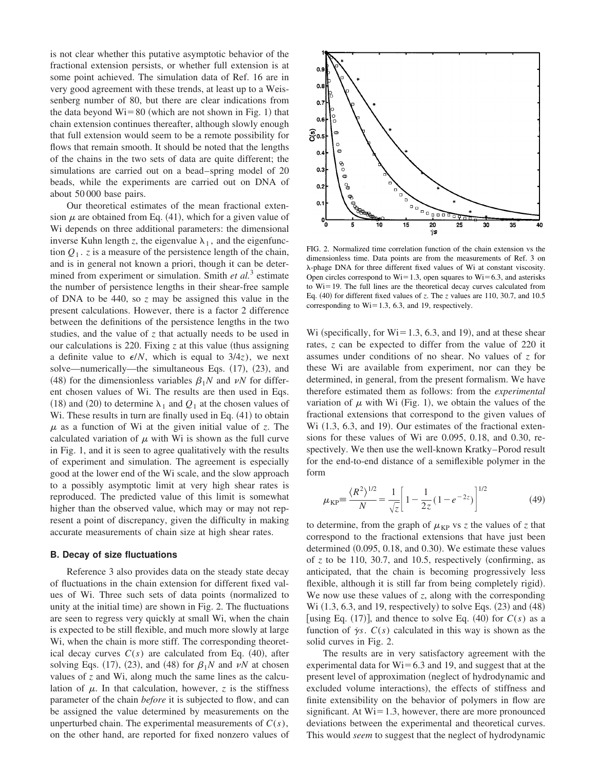is not clear whether this putative asymptotic behavior of the fractional extension persists, or whether full extension is at some point achieved. The simulation data of Ref. 16 are in very good agreement with these trends, at least up to a Weissenberg number of 80, but there are clear indications from the data beyond  $Wi=80$  (which are not shown in Fig. 1) that chain extension continues thereafter, although slowly enough that full extension would seem to be a remote possibility for flows that remain smooth. It should be noted that the lengths of the chains in the two sets of data are quite different; the simulations are carried out on a bead–spring model of 20 beads, while the experiments are carried out on DNA of about 50 000 base pairs.

Our theoretical estimates of the mean fractional extension  $\mu$  are obtained from Eq. (41), which for a given value of Wi depends on three additional parameters: the dimensional inverse Kuhn length z, the eigenvalue  $\lambda_1$ , and the eigenfunction  $Q_1$ . *z* is a measure of the persistence length of the chain, and is in general not known a priori, though it can be determined from experiment or simulation. Smith *et al.*<sup>3</sup> estimate the number of persistence lengths in their shear-free sample of DNA to be 440, so *z* may be assigned this value in the present calculations. However, there is a factor 2 difference between the definitions of the persistence lengths in the two studies, and the value of *z* that actually needs to be used in our calculations is 220. Fixing  $z$  at this value (thus assigning a definite value to  $\epsilon/N$ , which is equal to  $3/4z$ ), we next solve—numerically—the simultaneous Eqs.  $(17)$ ,  $(23)$ , and (48) for the dimensionless variables  $\beta_1N$  and  $\nu N$  for different chosen values of Wi. The results are then used in Eqs. (18) and (20) to determine  $\lambda_1$  and  $Q_1$  at the chosen values of Wi. These results in turn are finally used in Eq.  $(41)$  to obtain  $\mu$  as a function of Wi at the given initial value of *z*. The calculated variation of  $\mu$  with Wi is shown as the full curve in Fig. 1, and it is seen to agree qualitatively with the results of experiment and simulation. The agreement is especially good at the lower end of the Wi scale, and the slow approach to a possibly asymptotic limit at very high shear rates is reproduced. The predicted value of this limit is somewhat higher than the observed value, which may or may not represent a point of discrepancy, given the difficulty in making accurate measurements of chain size at high shear rates.

#### **B. Decay of size fluctuations**

Reference 3 also provides data on the steady state decay of fluctuations in the chain extension for different fixed values of Wi. Three such sets of data points (normalized to unity at the initial time) are shown in Fig.  $2$ . The fluctuations are seen to regress very quickly at small Wi, when the chain is expected to be still flexible, and much more slowly at large Wi, when the chain is more stiff. The corresponding theoretical decay curves  $C(s)$  are calculated from Eq.  $(40)$ , after solving Eqs.  $(17)$ ,  $(23)$ , and  $(48)$  for  $\beta_1N$  and  $\nu N$  at chosen values of *z* and Wi, along much the same lines as the calculation of  $\mu$ . In that calculation, however, *z* is the stiffness parameter of the chain *before* it is subjected to flow, and can be assigned the value determined by measurements on the unperturbed chain. The experimental measurements of  $C(s)$ , on the other hand, are reported for fixed nonzero values of



FIG. 2. Normalized time correlation function of the chain extension vs the dimensionless time. Data points are from the measurements of Ref. 3 on l-phage DNA for three different fixed values of Wi at constant viscosity. Open circles correspond to  $Wi=1.3$ , open squares to  $Wi=6.3$ , and asterisks to  $Wi=19$ . The full lines are the theoretical decay curves calculated from Eq.  $(40)$  for different fixed values of *z*. The *z* values are 110, 30.7, and 10.5 corresponding to  $Wi=1.3$ , 6.3, and 19, respectively.

Wi (specifically, for  $Wi=1.3, 6.3,$  and 19), and at these shear rates, *z* can be expected to differ from the value of 220 it assumes under conditions of no shear. No values of *z* for these Wi are available from experiment, nor can they be determined, in general, from the present formalism. We have therefore estimated them as follows: from the *experimental* variation of  $\mu$  with Wi (Fig. 1), we obtain the values of the fractional extensions that correspond to the given values of Wi  $(1.3, 6.3,$  and 19). Our estimates of the fractional extensions for these values of Wi are 0.095, 0.18, and 0.30, respectively. We then use the well-known Kratky–Porod result for the end-to-end distance of a semiflexible polymer in the form

$$
\mu_{\rm KP} = \frac{\langle R^2 \rangle^{1/2}}{N} = \frac{1}{\sqrt{z}} \left[ 1 - \frac{1}{2z} (1 - e^{-2z}) \right]^{1/2}
$$
(49)

to determine, from the graph of  $\mu_{KP}$  vs *z* the values of *z* that correspond to the fractional extensions that have just been determined  $(0.095, 0.18,$  and 0.30). We estimate these values of  $z$  to be 110, 30.7, and 10.5, respectively (confirming, as anticipated, that the chain is becoming progressively less flexible, although it is still far from being completely rigid). We now use these values of *z*, along with the corresponding Wi  $(1.3, 6.3,$  and 19, respectively) to solve Eqs.  $(23)$  and  $(48)$ | using Eq.  $(17)$ |, and thence to solve Eq.  $(40)$  for  $C(s)$  as a function of  $\gamma s$ .  $C(s)$  calculated in this way is shown as the solid curves in Fig. 2.

The results are in very satisfactory agreement with the experimental data for  $Wi=6.3$  and 19, and suggest that at the present level of approximation (neglect of hydrodynamic and excluded volume interactions), the effects of stiffness and finite extensibility on the behavior of polymers in flow are significant. At  $Wi=1.3$ , however, there are more pronounced deviations between the experimental and theoretical curves. This would *seem* to suggest that the neglect of hydrodynamic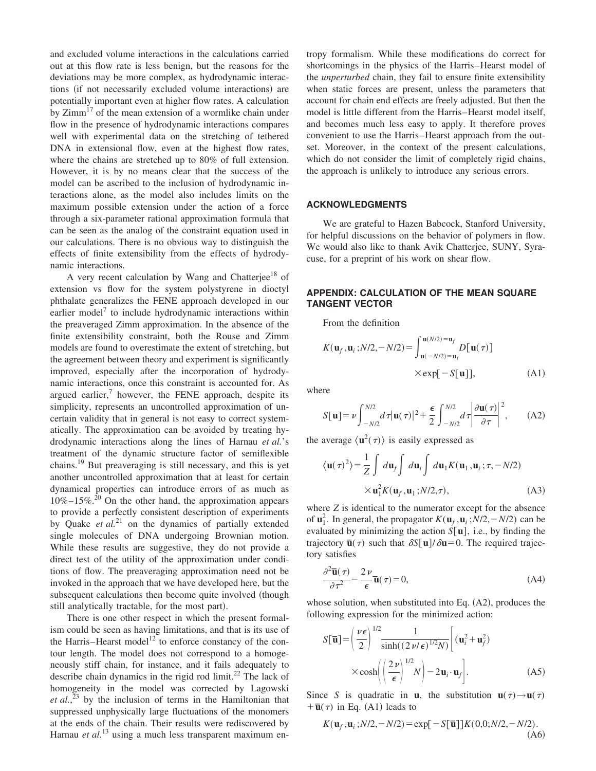and excluded volume interactions in the calculations carried out at this flow rate is less benign, but the reasons for the deviations may be more complex, as hydrodynamic interactions (if not necessarily excluded volume interactions) are potentially important even at higher flow rates. A calculation by  $Zimm<sup>17</sup>$  of the mean extension of a wormlike chain under flow in the presence of hydrodynamic interactions compares well with experimental data on the stretching of tethered DNA in extensional flow, even at the highest flow rates, where the chains are stretched up to 80% of full extension. However, it is by no means clear that the success of the model can be ascribed to the inclusion of hydrodynamic interactions alone, as the model also includes limits on the maximum possible extension under the action of a force through a six-parameter rational approximation formula that can be seen as the analog of the constraint equation used in our calculations. There is no obvious way to distinguish the effects of finite extensibility from the effects of hydrodynamic interactions.

A very recent calculation by Wang and Chatterjee<sup>18</sup> of extension vs flow for the system polystyrene in dioctyl phthalate generalizes the FENE approach developed in our earlier model<sup>7</sup> to include hydrodynamic interactions within the preaveraged Zimm approximation. In the absence of the finite extensibility constraint, both the Rouse and Zimm models are found to overestimate the extent of stretching, but the agreement between theory and experiment is significantly improved, especially after the incorporation of hydrodynamic interactions, once this constraint is accounted for. As argued earlier, $7$  however, the FENE approach, despite its simplicity, represents an uncontrolled approximation of uncertain validity that in general is not easy to correct systematically. The approximation can be avoided by treating hydrodynamic interactions along the lines of Harnau *et al.*'s treatment of the dynamic structure factor of semiflexible chains.<sup>19</sup> But preaveraging is still necessary, and this is yet another uncontrolled approximation that at least for certain dynamical properties can introduce errors of as much as  $10\% - 15\%$ .<sup>20</sup> On the other hand, the approximation appears to provide a perfectly consistent description of experiments by Quake *et al.*<sup>21</sup> on the dynamics of partially extended single molecules of DNA undergoing Brownian motion. While these results are suggestive, they do not provide a direct test of the utility of the approximation under conditions of flow. The preaveraging approximation need not be invoked in the approach that we have developed here, but the subsequent calculations then become quite involved (though still analytically tractable, for the most part).

There is one other respect in which the present formalism could be seen as having limitations, and that is its use of the Harris–Hearst model<sup>12</sup> to enforce constancy of the contour length. The model does not correspond to a homogeneously stiff chain, for instance, and it fails adequately to describe chain dynamics in the rigid rod limit.<sup>22</sup> The lack of homogeneity in the model was corrected by Lagowski *et al.*, <sup>23</sup> by the inclusion of terms in the Hamiltonian that suppressed unphysically large fluctuations of the monomers at the ends of the chain. Their results were rediscovered by Harnau *et al.*<sup>13</sup> using a much less transparent maximum entropy formalism. While these modifications do correct for shortcomings in the physics of the Harris–Hearst model of the *unperturbed* chain, they fail to ensure finite extensibility when static forces are present, unless the parameters that account for chain end effects are freely adjusted. But then the model is little different from the Harris–Hearst model itself, and becomes much less easy to apply. It therefore proves convenient to use the Harris–Hearst approach from the outset. Moreover, in the context of the present calculations, which do not consider the limit of completely rigid chains, the approach is unlikely to introduce any serious errors.

### **ACKNOWLEDGMENTS**

We are grateful to Hazen Babcock, Stanford University, for helpful discussions on the behavior of polymers in flow. We would also like to thank Avik Chatterjee, SUNY, Syracuse, for a preprint of his work on shear flow.

# **APPENDIX: CALCULATION OF THE MEAN SQUARE TANGENT VECTOR**

From the definition

$$
K(\mathbf{u}_f, \mathbf{u}_i; N/2, -N/2) = \int_{\mathbf{u}(-N/2) = \mathbf{u}_i}^{\mathbf{u}(N/2) = \mathbf{u}_f} D[\mathbf{u}(\tau)]
$$
  
×  $\exp[-S[\mathbf{u}]],$  (A1)

where

$$
S[\mathbf{u}] = \nu \int_{-N/2}^{N/2} d\tau |\mathbf{u}(\tau)|^2 + \frac{\epsilon}{2} \int_{-N/2}^{N/2} d\tau \left| \frac{\partial \mathbf{u}(\tau)}{\partial \tau} \right|^2, \quad (A2)
$$

the average  $\langle \mathbf{u}^2(\tau) \rangle$  is easily expressed as

$$
\langle \mathbf{u}(\tau)^2 \rangle = \frac{1}{Z} \int d\mathbf{u}_f \int d\mathbf{u}_i \int d\mathbf{u}_1 K(\mathbf{u}_1, \mathbf{u}_i; \tau, -N/2)
$$
  
 
$$
\times \mathbf{u}_1^2 K(\mathbf{u}_f, \mathbf{u}_1; N/2, \tau), \tag{A3}
$$

where *Z* is identical to the numerator except for the absence of  $\mathbf{u}_1^2$ . In general, the propagator  $K(\mathbf{u}_f, \mathbf{u}_i; N/2, -N/2)$  can be evaluated by minimizing the action  $S[\mathbf{u}]$ , i.e., by finding the trajectory  $\overline{\mathbf{u}}(\tau)$  such that  $\delta S[\mathbf{u}]/\delta \mathbf{u} = 0$ . The required trajectory satisfies

$$
\frac{\partial^2 \overline{\mathbf{u}}(\tau)}{\partial \tau^2} - \frac{2 \nu}{\epsilon} \overline{\mathbf{u}}(\tau) = 0,
$$
 (A4)

whose solution, when substituted into Eq.  $(A2)$ , produces the following expression for the minimized action:

$$
S[\overline{\mathbf{u}}] = \left(\frac{\nu \epsilon}{2}\right)^{1/2} \frac{1}{\sinh((2 \nu/\epsilon)^{1/2} N)} \left[ (\mathbf{u}_i^2 + \mathbf{u}_f^2) \times \cosh\left(\left(\frac{2 \nu}{\epsilon}\right)^{1/2} N\right) - 2 \mathbf{u}_i \cdot \mathbf{u}_f \right].
$$
 (A5)

Since *S* is quadratic in **u**, the substitution **u**( $\tau$ )  $\rightarrow$ **u**( $\tau$ )  $+\overline{\mathbf{u}}(\tau)$  in Eq. (A1) leads to

$$
K(\mathbf{u}_f, \mathbf{u}_i; N/2, -N/2) = \exp[-S[\overline{\mathbf{u}}]]K(0,0; N/2, -N/2). \tag{A6}
$$